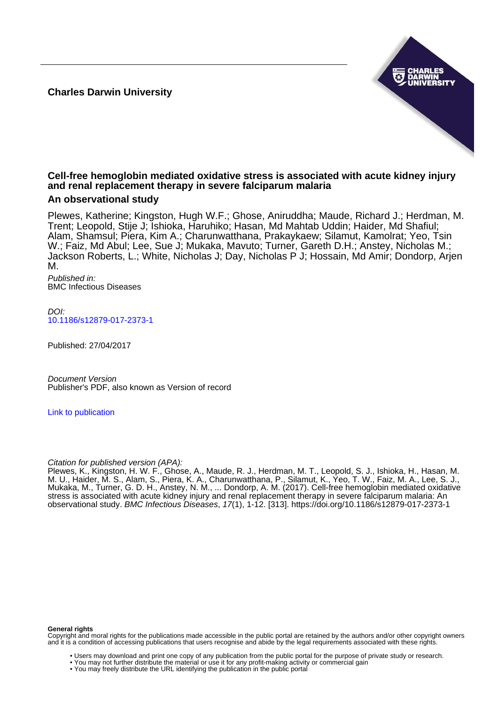**Charles Darwin University**



# **Cell-free hemoglobin mediated oxidative stress is associated with acute kidney injury and renal replacement therapy in severe falciparum malaria**

# **An observational study**

Plewes, Katherine; Kingston, Hugh W.F.; Ghose, Aniruddha; Maude, Richard J.; Herdman, M. Trent; Leopold, Stije J; Ishioka, Haruhiko; Hasan, Md Mahtab Uddin; Haider, Md Shafiul; Alam, Shamsul; Piera, Kim A.; Charunwatthana, Prakaykaew; Silamut, Kamolrat; Yeo, Tsin W.; Faiz, Md Abul; Lee, Sue J; Mukaka, Mavuto; Turner, Gareth D.H.; Anstey, Nicholas M.; Jackson Roberts, L.; White, Nicholas J; Day, Nicholas P J; Hossain, Md Amir; Dondorp, Arjen M.

Published in: BMC Infectious Diseases

 $D$ [10.1186/s12879-017-2373-1](https://doi.org/10.1186/s12879-017-2373-1)

Published: 27/04/2017

Document Version Publisher's PDF, also known as Version of record

[Link to publication](https://researchers.cdu.edu.au/en/publications/ee578ee5-1a72-4420-9e4e-483e0415bc65)

# Citation for published version (APA):

Plewes, K., Kingston, H. W. F., Ghose, A., Maude, R. J., Herdman, M. T., Leopold, S. J., Ishioka, H., Hasan, M. M. U., Haider, M. S., Alam, S., Piera, K. A., Charunwatthana, P., Silamut, K., Yeo, T. W., Faiz, M. A., Lee, S. J., Mukaka, M., Turner, G. D. H., Anstey, N. M., ... Dondorp, A. M. (2017). Cell-free hemoglobin mediated oxidative stress is associated with acute kidney injury and renal replacement therapy in severe falciparum malaria: An observational study. BMC Infectious Diseases, 17(1), 1-12. [313].<https://doi.org/10.1186/s12879-017-2373-1>

#### **General rights**

Copyright and moral rights for the publications made accessible in the public portal are retained by the authors and/or other copyright owners and it is a condition of accessing publications that users recognise and abide by the legal requirements associated with these rights.

- Users may download and print one copy of any publication from the public portal for the purpose of private study or research.
- You may not further distribute the material or use it for any profit-making activity or commercial gain
- You may freely distribute the URL identifying the publication in the public portal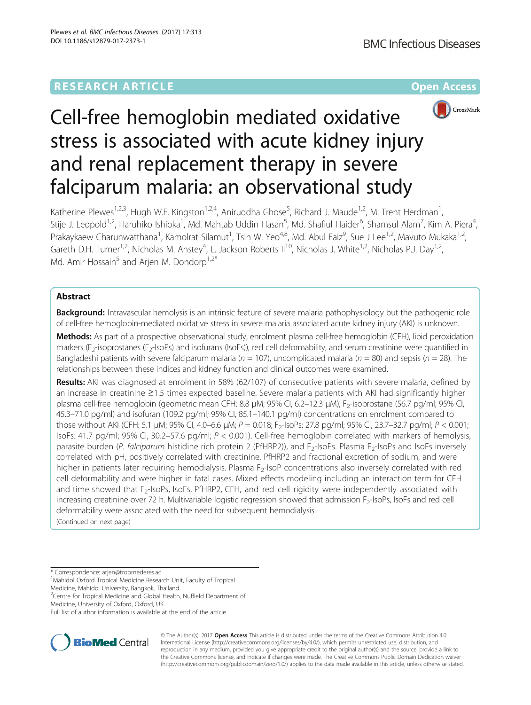# **RESEARCH ARTICLE Example 2014 12:30 The Company Access** (RESEARCH ARTICLE



# Cell-free hemoglobin mediated oxidative stress is associated with acute kidney injury and renal replacement therapy in severe falciparum malaria: an observational study

Katherine Plewes<sup>1,2,3</sup>, Hugh W.F. Kingston<sup>1,2,4</sup>, Aniruddha Ghose<sup>5</sup>, Richard J. Maude<sup>1,2</sup>, M. Trent Herdman<sup>1</sup> , Stije J. Leopold<sup>1,2</sup>, Haruhiko Ishioka<sup>1</sup>, Md. Mahtab Uddin Hasan<sup>5</sup>, Md. Shafiul Haider<sup>6</sup>, Shamsul Alam<sup>7</sup>, Kim A. Piera<sup>4</sup> , Prakaykaew Charunwatthana<sup>1</sup>, Kamolrat Silamut<sup>1</sup>, Tsin W. Yeo<sup>4,8</sup>, Md. Abul Faiz<sup>9</sup>, Sue J Lee<sup>1,2</sup>, Mavuto Mukaka<sup>1,2</sup>, Gareth D.H. Turner<sup>1,2</sup>, Nicholas M. Anstey<sup>4</sup>, L. Jackson Roberts II<sup>10</sup>, Nicholas J. White<sup>1,2</sup>, Nicholas P.J. Day<sup>1,2</sup>, Md. Amir Hossain<sup>5</sup> and Arien M. Dondorp<sup>1,2\*</sup>

# Abstract

**Background:** Intravascular hemolysis is an intrinsic feature of severe malaria pathophysiology but the pathogenic role of cell-free hemoglobin-mediated oxidative stress in severe malaria associated acute kidney injury (AKI) is unknown.

Methods: As part of a prospective observational study, enrolment plasma cell-free hemoglobin (CFH), lipid peroxidation markers (F<sub>2</sub>-isoprostanes (F<sub>2</sub>-IsoPs) and isofurans (IsoFs)), red cell deformability, and serum creatinine were quantified in Bangladeshi patients with severe falciparum malaria ( $n = 107$ ), uncomplicated malaria ( $n = 80$ ) and sepsis ( $n = 28$ ). The relationships between these indices and kidney function and clinical outcomes were examined.

Results: AKI was diagnosed at enrolment in 58% (62/107) of consecutive patients with severe malaria, defined by an increase in creatinine ≥1.5 times expected baseline. Severe malaria patients with AKI had significantly higher plasma cell-free hemoglobin (geometric mean CFH: 8.8 μM; 95% Cl, 6.2–12.3 μM), F<sub>2</sub>-isoprostane (56.7 pg/ml; 95% Cl, 45.3–71.0 pg/ml) and isofuran (109.2 pg/ml; 95% CI, 85.1–140.1 pg/ml) concentrations on enrolment compared to those without AKI (CFH: 5.1 μM; 95% CI, 4.0–6.6 μM; P = 0.018; F<sub>2</sub>-IsoPs: 27.8 pg/ml; 95% CI, 23.7–32.7 pg/ml; P < 0.001; IsoFs: 41.7 pg/ml; 95% CI, 30.2–57.6 pg/ml; P < 0.001). Cell-free hemoglobin correlated with markers of hemolysis, parasite burden (P. falciparum histidine rich protein 2 (PfHRP2)), and F<sub>2</sub>-IsoPs. Plasma F<sub>2</sub>-IsoPs and IsoFs inversely correlated with pH, positively correlated with creatinine, PfHRP2 and fractional excretion of sodium, and were higher in patients later requiring hemodialysis. Plasma F<sub>2</sub>-IsoP concentrations also inversely correlated with red cell deformability and were higher in fatal cases. Mixed effects modeling including an interaction term for CFH and time showed that  $F<sub>2</sub>$ -IsoPs, IsoFs, PfHRP2, CFH, and red cell rigidity were independently associated with increasing creatinine over 72 h. Multivariable logistic regression showed that admission F<sub>2</sub>-IsoPs, IsoFs and red cell deformability were associated with the need for subsequent hemodialysis.

(Continued on next page)

\* Correspondence: [arjen@tropmederes.ac](mailto:arjen@tropmederes.ac) <sup>1</sup>

<sup>1</sup>Mahidol Oxford Tropical Medicine Research Unit, Faculty of Tropical

Medicine, Mahidol University, Bangkok, Thailand

<sup>2</sup> Centre for Tropical Medicine and Global Health, Nuffield Department of Medicine, University of Oxford, Oxford, UK

Full list of author information is available at the end of the article



© The Author(s). 2017 **Open Access** This article is distributed under the terms of the Creative Commons Attribution 4.0 International License [\(http://creativecommons.org/licenses/by/4.0/](http://creativecommons.org/licenses/by/4.0/)), which permits unrestricted use, distribution, and reproduction in any medium, provided you give appropriate credit to the original author(s) and the source, provide a link to the Creative Commons license, and indicate if changes were made. The Creative Commons Public Domain Dedication waiver [\(http://creativecommons.org/publicdomain/zero/1.0/](http://creativecommons.org/publicdomain/zero/1.0/)) applies to the data made available in this article, unless otherwise stated.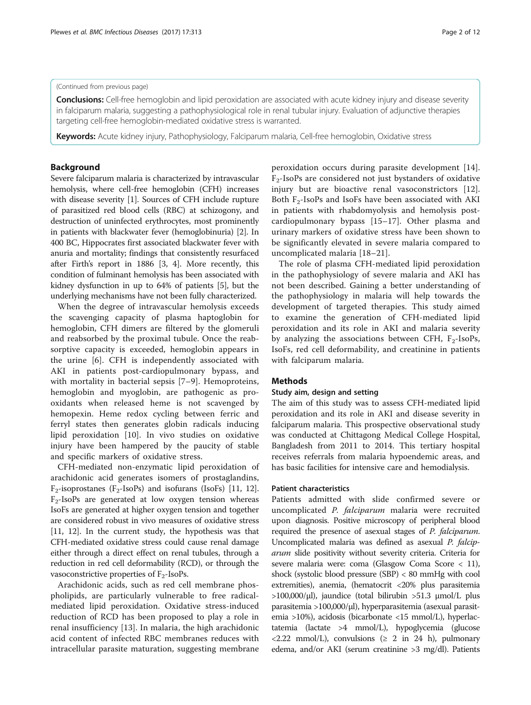## (Continued from previous page)

**Conclusions:** Cell-free hemoglobin and lipid peroxidation are associated with acute kidney injury and disease severity in falciparum malaria, suggesting a pathophysiological role in renal tubular injury. Evaluation of adjunctive therapies targeting cell-free hemoglobin-mediated oxidative stress is warranted.

Keywords: Acute kidney injury, Pathophysiology, Falciparum malaria, Cell-free hemoglobin, Oxidative stress

# Background

Severe falciparum malaria is characterized by intravascular hemolysis, where cell-free hemoglobin (CFH) increases with disease severity [\[1\]](#page-11-0). Sources of CFH include rupture of parasitized red blood cells (RBC) at schizogony, and destruction of uninfected erythrocytes, most prominently in patients with blackwater fever (hemoglobinuria) [[2](#page-11-0)]. In 400 BC, Hippocrates first associated blackwater fever with anuria and mortality; findings that consistently resurfaced after Firth's report in 1886 [\[3](#page-11-0), [4](#page-11-0)]. More recently, this condition of fulminant hemolysis has been associated with kidney dysfunction in up to 64% of patients [[5](#page-11-0)], but the underlying mechanisms have not been fully characterized.

When the degree of intravascular hemolysis exceeds the scavenging capacity of plasma haptoglobin for hemoglobin, CFH dimers are filtered by the glomeruli and reabsorbed by the proximal tubule. Once the reabsorptive capacity is exceeded, hemoglobin appears in the urine [\[6](#page-11-0)]. CFH is independently associated with AKI in patients post-cardiopulmonary bypass, and with mortality in bacterial sepsis [\[7](#page-11-0)–[9](#page-11-0)]. Hemoproteins, hemoglobin and myoglobin, are pathogenic as prooxidants when released heme is not scavenged by hemopexin. Heme redox cycling between ferric and ferryl states then generates globin radicals inducing lipid peroxidation [[10\]](#page-11-0). In vivo studies on oxidative injury have been hampered by the paucity of stable and specific markers of oxidative stress.

CFH-mediated non-enzymatic lipid peroxidation of arachidonic acid generates isomers of prostaglandins,  $F_2$ -isoprostanes ( $F_2$ -IsoPs) and isofurans (IsoFs) [[11](#page-11-0), [12](#page-11-0)].  $F_2$ -IsoPs are generated at low oxygen tension whereas IsoFs are generated at higher oxygen tension and together are considered robust in vivo measures of oxidative stress [[11](#page-11-0), [12](#page-11-0)]. In the current study, the hypothesis was that CFH-mediated oxidative stress could cause renal damage either through a direct effect on renal tubules, through a reduction in red cell deformability (RCD), or through the vasoconstrictive properties of  $F_2$ -IsoPs.

Arachidonic acids, such as red cell membrane phospholipids, are particularly vulnerable to free radicalmediated lipid peroxidation. Oxidative stress-induced reduction of RCD has been proposed to play a role in renal insufficiency [[13\]](#page-11-0). In malaria, the high arachidonic acid content of infected RBC membranes reduces with intracellular parasite maturation, suggesting membrane peroxidation occurs during parasite development [\[14](#page-11-0)].  $F_2$ -IsoPs are considered not just bystanders of oxidative injury but are bioactive renal vasoconstrictors [\[12](#page-11-0)]. Both  $F_2$ -IsoPs and IsoFs have been associated with AKI in patients with rhabdomyolysis and hemolysis postcardiopulmonary bypass [[15](#page-11-0)–[17](#page-11-0)]. Other plasma and urinary markers of oxidative stress have been shown to be significantly elevated in severe malaria compared to uncomplicated malaria [\[18](#page-11-0)–[21](#page-12-0)].

The role of plasma CFH-mediated lipid peroxidation in the pathophysiology of severe malaria and AKI has not been described. Gaining a better understanding of the pathophysiology in malaria will help towards the development of targeted therapies. This study aimed to examine the generation of CFH-mediated lipid peroxidation and its role in AKI and malaria severity by analyzing the associations between CFH,  $F_2$ -IsoPs, IsoFs, red cell deformability, and creatinine in patients with falciparum malaria.

## **Methods**

# Study aim, design and setting

The aim of this study was to assess CFH-mediated lipid peroxidation and its role in AKI and disease severity in falciparum malaria. This prospective observational study was conducted at Chittagong Medical College Hospital, Bangladesh from 2011 to 2014. This tertiary hospital receives referrals from malaria hypoendemic areas, and has basic facilities for intensive care and hemodialysis.

#### Patient characteristics

Patients admitted with slide confirmed severe or uncomplicated P. falciparum malaria were recruited upon diagnosis. Positive microscopy of peripheral blood required the presence of asexual stages of P. falciparum. Uncomplicated malaria was defined as asexual P. falciparum slide positivity without severity criteria. Criteria for severe malaria were: coma (Glasgow Coma Score < 11), shock (systolic blood pressure (SBP) < 80 mmHg with cool extremities), anemia, (hematocrit <20% plus parasitemia >100,000/μl), jaundice (total bilirubin >51.3 μmol/L plus parasitemia >100,000/μl), hyperparasitemia (asexual parasitemia >10%), acidosis (bicarbonate <15 mmol/L), hyperlactatemia (lactate >4 mmol/L), hypoglycemia (glucose  $\langle 2.22 \text{ mmol/L} \rangle$ , convulsions ( $\geq 2$  in 24 h), pulmonary edema, and/or AKI (serum creatinine >3 mg/dl). Patients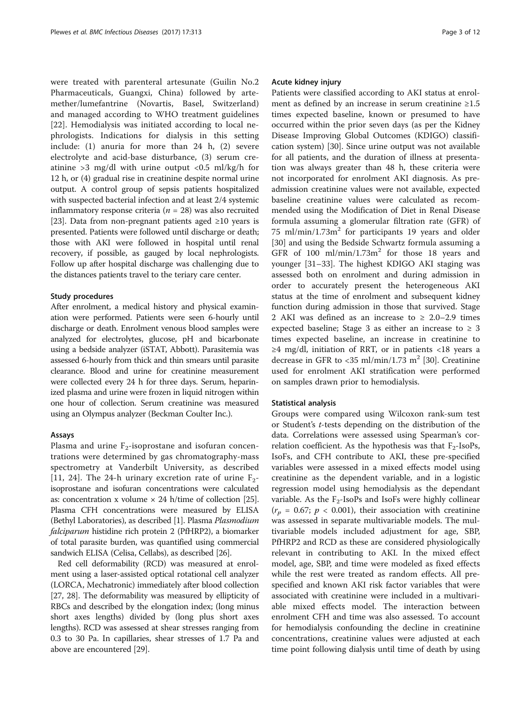were treated with parenteral artesunate (Guilin No.2 Pharmaceuticals, Guangxi, China) followed by artemether/lumefantrine (Novartis, Basel, Switzerland) and managed according to WHO treatment guidelines [[22\]](#page-12-0). Hemodialysis was initiated according to local nephrologists. Indications for dialysis in this setting include: (1) anuria for more than 24 h, (2) severe electrolyte and acid-base disturbance, (3) serum creatinine  $>3$  mg/dl with urine output <0.5 ml/kg/h for 12 h, or (4) gradual rise in creatinine despite normal urine output. A control group of sepsis patients hospitalized with suspected bacterial infection and at least 2/4 systemic inflammatory response criteria ( $n = 28$ ) was also recruited [[23](#page-12-0)]. Data from non-pregnant patients aged ≥10 years is presented. Patients were followed until discharge or death; those with AKI were followed in hospital until renal recovery, if possible, as gauged by local nephrologists. Follow up after hospital discharge was challenging due to the distances patients travel to the teriary care center.

#### Study procedures

After enrolment, a medical history and physical examination were performed. Patients were seen 6-hourly until discharge or death. Enrolment venous blood samples were analyzed for electrolytes, glucose, pH and bicarbonate using a bedside analyzer (iSTAT, Abbott). Parasitemia was assessed 6-hourly from thick and thin smears until parasite clearance. Blood and urine for creatinine measurement were collected every 24 h for three days. Serum, heparinized plasma and urine were frozen in liquid nitrogen within one hour of collection. Serum creatinine was measured using an Olympus analyzer (Beckman Coulter Inc.).

#### Assays

Plasma and urine  $F_2$ -isoprostane and isofuran concentrations were determined by gas chromatography-mass spectrometry at Vanderbilt University, as described [[11](#page-11-0), [24\]](#page-12-0). The 24-h urinary excretion rate of urine  $F_2$ isoprostane and isofuran concentrations were calculated as: concentration x volume  $\times$  24 h/time of collection [\[25](#page-12-0)]. Plasma CFH concentrations were measured by ELISA (Bethyl Laboratories), as described [[1\]](#page-11-0). Plasma Plasmodium falciparum histidine rich protein 2 (PfHRP2), a biomarker of total parasite burden, was quantified using commercial sandwich ELISA (Celisa, Cellabs), as described [\[26\]](#page-12-0).

Red cell deformability (RCD) was measured at enrolment using a laser-assisted optical rotational cell analyzer (LORCA, Mechatronic) immediately after blood collection [[27](#page-12-0), [28\]](#page-12-0). The deformability was measured by ellipticity of RBCs and described by the elongation index; (long minus short axes lengths) divided by (long plus short axes lengths). RCD was assessed at shear stresses ranging from 0.3 to 30 Pa. In capillaries, shear stresses of 1.7 Pa and above are encountered [[29\]](#page-12-0).

## Acute kidney injury

Patients were classified according to AKI status at enrolment as defined by an increase in serum creatinine ≥1.5 times expected baseline, known or presumed to have occurred within the prior seven days (as per the Kidney Disease Improving Global Outcomes (KDIGO) classification system) [\[30\]](#page-12-0). Since urine output was not available for all patients, and the duration of illness at presentation was always greater than 48 h, these criteria were not incorporated for enrolment AKI diagnosis. As preadmission creatinine values were not available, expected baseline creatinine values were calculated as recommended using the Modification of Diet in Renal Disease formula assuming a glomerular filtration rate (GFR) of 75 ml/min/1.73 $m<sup>2</sup>$  for participants 19 years and older [[30\]](#page-12-0) and using the Bedside Schwartz formula assuming a GFR of  $100$  ml/min/1.73m<sup>2</sup> for those 18 years and younger [\[31](#page-12-0)–[33\]](#page-12-0). The highest KDIGO AKI staging was assessed both on enrolment and during admission in order to accurately present the heterogeneous AKI status at the time of enrolment and subsequent kidney function during admission in those that survived. Stage 2 AKI was defined as an increase to  $\geq 2.0-2.9$  times expected baseline; Stage 3 as either an increase to  $\geq 3$ times expected baseline, an increase in creatinine to ≥4 mg/dl, initiation of RRT, or in patients <18 years a decrease in GFR to <35 ml/min/1.73 m<sup>2</sup> [[30](#page-12-0)]. Creatinine used for enrolment AKI stratification were performed on samples drawn prior to hemodialysis.

## Statistical analysis

Groups were compared using Wilcoxon rank-sum test or Student's t-tests depending on the distribution of the data. Correlations were assessed using Spearman's correlation coefficient. As the hypothesis was that  $F_2$ -IsoPs, IsoFs, and CFH contribute to AKI, these pre-specified variables were assessed in a mixed effects model using creatinine as the dependent variable, and in a logistic regression model using hemodialysis as the dependant variable. As the  $F_2$ -IsoPs and IsoFs were highly collinear  $(r_p = 0.67; p < 0.001)$ , their association with creatinine was assessed in separate multivariable models. The multivariable models included adjustment for age, SBP, PfHRP2 and RCD as these are considered physiologically relevant in contributing to AKI. In the mixed effect model, age, SBP, and time were modeled as fixed effects while the rest were treated as random effects. All prespecified and known AKI risk factor variables that were associated with creatinine were included in a multivariable mixed effects model. The interaction between enrolment CFH and time was also assessed. To account for hemodialysis confounding the decline in creatinine concentrations, creatinine values were adjusted at each time point following dialysis until time of death by using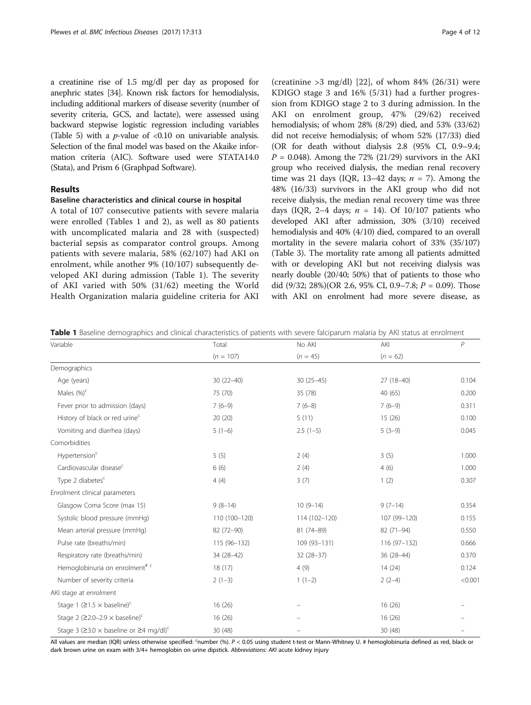<span id="page-4-0"></span>a creatinine rise of 1.5 mg/dl per day as proposed for anephric states [\[34\]](#page-12-0). Known risk factors for hemodialysis, including additional markers of disease severity (number of severity criteria, GCS, and lactate), were assessed using backward stepwise logistic regression including variables (Table [5\)](#page-9-0) with a *p*-value of <0.10 on univariable analysis. Selection of the final model was based on the Akaike information criteria (AIC). Software used were STATA14.0 (Stata), and Prism 6 (Graphpad Software).

## Results

# Baseline characteristics and clinical course in hospital

A total of 107 consecutive patients with severe malaria were enrolled (Tables 1 and [2](#page-5-0)), as well as 80 patients with uncomplicated malaria and 28 with (suspected) bacterial sepsis as comparator control groups. Among patients with severe malaria, 58% (62/107) had AKI on enrolment, while another 9% (10/107) subsequently developed AKI during admission (Table 1). The severity of AKI varied with 50% (31/62) meeting the World Health Organization malaria guideline criteria for AKI

(creatinine  $>3$  mg/dl) [[22\]](#page-12-0), of whom 84% (26/31) were KDIGO stage 3 and 16% (5/31) had a further progression from KDIGO stage 2 to 3 during admission. In the AKI on enrolment group, 47% (29/62) received hemodialysis; of whom 28% (8/29) died, and 53% (33/62) did not receive hemodialysis; of whom 52% (17/33) died (OR for death without dialysis 2.8 (95% CI, 0.9–9.4;  $P = 0.048$ ). Among the 72% (21/29) survivors in the AKI group who received dialysis, the median renal recovery time was 21 days (IQR, 13-42 days;  $n = 7$ ). Among the 48% (16/33) survivors in the AKI group who did not receive dialysis, the median renal recovery time was three days (IQR, 2-4 days;  $n = 14$ ). Of 10/107 patients who developed AKI after admission, 30% (3/10) received hemodialysis and 40% (4/10) died, compared to an overall mortality in the severe malaria cohort of 33% (35/107) (Table [3\)](#page-5-0). The mortality rate among all patients admitted with or developing AKI but not receiving dialysis was nearly double (20/40; 50%) that of patients to those who did (9/32; 28%)(OR 2.6, 95% CI, 0.9–7.8;  $P = 0.09$ ). Those with AKI on enrolment had more severe disease, as

Table 1 Baseline demographics and clinical characteristics of patients with severe falciparum malaria by AKI status at enrolment

| Variable                                                               | Total         | No AKI        | AKI          | $\overline{P}$ |
|------------------------------------------------------------------------|---------------|---------------|--------------|----------------|
|                                                                        | $(n = 107)$   | $(n = 45)$    | $(n = 62)$   |                |
| Demographics                                                           |               |               |              |                |
| Age (years)                                                            | $30(22 - 40)$ | $30(25-45)$   | $27(18-40)$  | 0.104          |
| Males $(\%)^c$                                                         | 75 (70)       | 35 (78)       | 40 (65)      | 0.200          |
| Fever prior to admission (days)                                        | $7(6-9)$      | $7(6-8)$      | $7(6-9)$     | 0.311          |
| History of black or red urine <sup>c</sup>                             | 20(20)        | 5(11)         | 15(26)       | 0.100          |
| Vomiting and diarrhea (days)                                           | $5(1-6)$      | $2.5(1-5)$    | $5(3-9)$     | 0.045          |
| Comorbidities                                                          |               |               |              |                |
| Hypertension <sup>c</sup>                                              | 5(5)          | 2(4)          | 3(5)         | 1.000          |
| Cardiovascular disease <sup>c</sup>                                    | 6(6)          | 2(4)          | 4(6)         | 1.000          |
| Type 2 diabetes <sup>c</sup>                                           | 4(4)          | 3(7)          | 1(2)         | 0.307          |
| Enrolment clinical parameters                                          |               |               |              |                |
| Glasgow Coma Score (max 15)                                            | $9(8-14)$     | $10(9-14)$    | $9(7-14)$    | 0.354          |
| Systolic blood pressure (mmHq)                                         | 110 (100-120) | 114 (102-120) | 107 (99-120) | 0.155          |
| Mean arterial pressure (mmHg)                                          | 82 (72-90)    | 81 (74-89)    | 82 (71-94)   | 0.550          |
| Pulse rate (breaths/min)                                               | $115(96-132)$ | 109 (93-131)  | 116 (97-132) | 0.666          |
| Respiratory rate (breaths/min)                                         | 34 (28-42)    | $32(28-37)$   | 36 (28-44)   | 0.370          |
| Hemoglobinuria on enrolment <sup># c</sup>                             | 18(17)        | 4(9)          | 14(24)       | 0.124          |
| Number of severity criteria                                            | $2(1-3)$      | $1(1-2)$      | $2(2-4)$     | < 0.001        |
| AKI stage at enrolment                                                 |               |               |              |                |
| Stage 1 ( $\geq$ 1.5 $\times$ baseline) <sup>c</sup>                   | 16(26)        |               | 16(26)       |                |
| Stage 2 ( $\geq$ 2.0-2.9 $\times$ baseline) <sup>c</sup>               | 16(26)        |               | 16(26)       |                |
| Stage 3 ( $\geq$ 3.0 $\times$ baseline or $\geq$ 4 mg/dl) <sup>c</sup> | 30(48)        | $\equiv$      | 30(48)       |                |

All values are median (IQR) unless otherwise specified: <sup>c</sup>number (%). P < 0.05 using student t-test or Mann-Whitney U. # hemoglobinuria defined as red, black or dark brown urine on exam with 3/4+ hemoglobin on urine dipstick. Abbreviations: AKI acute kidney injury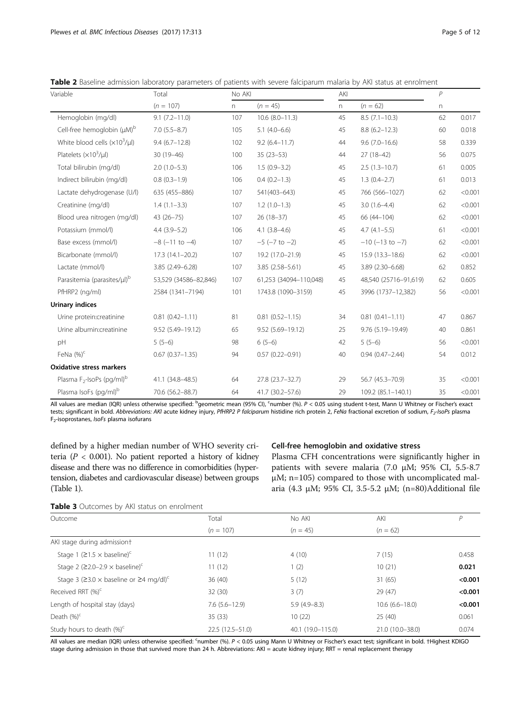| Variable                                          | Total                  | No AKI |                        | AKI |                         | $\overline{P}$ |         |
|---------------------------------------------------|------------------------|--------|------------------------|-----|-------------------------|----------------|---------|
|                                                   | $(n = 107)$            | n.     | $(n = 45)$             | n.  | $(n = 62)$              | n.             |         |
| Hemoglobin (mg/dl)                                | $9.1(7.2 - 11.0)$      | 107    | $10.6$ $(8.0 - 11.3)$  | 45  | $8.5(7.1-10.3)$         | 62             | 0.017   |
| Cell-free hemoglobin (µM) <sup>b</sup>            | $7.0(5.5 - 8.7)$       | 105    | $5.1(4.0-6.6)$         | 45  | $8.8(6.2 - 12.3)$       | 60             | 0.018   |
| White blood cells $(x10^3/\mu l)$                 | $9.4(6.7-12.8)$        | 102    | $9.2(6.4 - 11.7)$      | 44  | $9.6(7.0 - 16.6)$       | 58             | 0.339   |
| Platelets $(x10^3/\mu l)$                         | 30 (19-46)             | 100    | $35(23-53)$            | 44  | $27(18-42)$             | 56             | 0.075   |
| Total bilirubin (mg/dl)                           | $2.0(1.0-5.3)$         | 106    | $1.5(0.9-3.2)$         | 45  | $2.5(1.3-10.7)$         | 61             | 0.005   |
| Indirect bilirubin (mg/dl)                        | $0.8(0.3-1.9)$         | 106    | $0.4(0.2-1.3)$         | 45  | $1.3(0.4-2.7)$          | 61             | 0.013   |
| Lactate dehydrogenase (U/l)                       | 635 (455-886)          | 107    | 541(403-643)           | 45  | 766 (566-1027)          | 62             | < 0.001 |
| Creatinine (mg/dl)                                | $1.4(1.1-3.3)$         | 107    | $1.2(1.0-1.3)$         | 45  | $3.0(1.6-4.4)$          | 62             | < 0.001 |
| Blood urea nitrogen (mg/dl)                       | 43 (26-75)             | 107    | $26(18-37)$            | 45  | 66 (44-104)             | 62             | < 0.001 |
| Potassium (mmol/l)                                | $4.4(3.9-5.2)$         | 106    | $4.1(3.8-4.6)$         | 45  | $4.7(4.1 - 5.5)$        | 61             | < 0.001 |
| Base excess (mmol/l)                              | $-8$ ( $-11$ to $-4$ ) | 107    | $-5$ ( $-7$ to $-2$ )  | 45  | $-10$ ( $-13$ to $-7$ ) | 62             | < 0.001 |
| Bicarbonate (mmol/l)                              | $17.3(14.1-20.2)$      | 107    | 19.2 (17.0-21.9)       | 45  | $15.9(13.3 - 18.6)$     | 62             | < 0.001 |
| Lactate (mmol/l)                                  | 3.85 (2.49-6.28)       | 107    | 3.85 (2.58-5.61)       | 45  | 3.89 (2.30-6.68)        | 62             | 0.852   |
| Parasitemia (parasites/µl) <sup>b</sup>           | 53,529 (34586-82,846)  | 107    | 61,253 (34094-110,048) | 45  | 48,540 (25716-91,619)   | 62             | 0.605   |
| PfHRP2 (ng/ml)                                    | 2584 (1341-7194)       | 101    | 1743.8 (1090-3159)     | 45  | 3996 (1737-12,382)      | 56             | < 0.001 |
| <b>Urinary indices</b>                            |                        |        |                        |     |                         |                |         |
| Urine protein:creatinine                          | $0.81(0.42 - 1.11)$    | 81     | $0.81(0.52 - 1.15)$    | 34  | $0.81(0.41 - 1.11)$     | 47             | 0.867   |
| Urine albumin:creatinine                          | 9.52 (5.49-19.12)      | 65     | 9.52 (5.69-19.12)      | 25  | 9.76 (5.19-19.49)       | 40             | 0.861   |
| pH                                                | $5(5-6)$               | 98     | $6(5-6)$               | 42  | $5(5-6)$                | 56             | < 0.001 |
| FeNa $(%)^c$                                      | $0.67(0.37 - 1.35)$    | 94     | $0.57(0.22 - 0.91)$    | 40  | $0.94(0.47 - 2.44)$     | 54             | 0.012   |
| <b>Oxidative stress markers</b>                   |                        |        |                        |     |                         |                |         |
| Plasma F <sub>2</sub> -IsoPs (pg/ml) <sup>b</sup> | 41.1 (34.8-48.5)       | 64     | 27.8 (23.7-32.7)       | 29  | 56.7 (45.3-70.9)        | 35             | < 0.001 |
| Plasma IsoFs (pg/ml) <sup>b</sup>                 | 70.6 (56.2-88.7)       | 64     | 41.7 (30.2-57.6)       | 29  | 109.2 (85.1-140.1)      | 35             | < 0.001 |

<span id="page-5-0"></span>Table 2 Baseline admission laboratory parameters of patients with severe falciparum malaria by AKI status at enrolment

All values are median (IQR) unless otherwise specified: <sup>b</sup>geometric mean (95% CI), <sup>c</sup>number (%). *P* < 0.05 using student t-test, Mann U Whitney or Fischer's exact tests; significant in bold. Abbreviations: AKI acute kidney injury, PfHRP2 P falciparum histidine rich protein 2, FeNa fractional excretion of sodium, F<sub>2</sub>-IsoPs plasma F2-isoprostanes, IsoFs plasma isofurans

defined by a higher median number of WHO severity criteria ( $P < 0.001$ ). No patient reported a history of kidney disease and there was no difference in comorbidities (hypertension, diabetes and cardiovascular disease) between groups (Table [1\)](#page-4-0).

#### Cell-free hemoglobin and oxidative stress

Plasma CFH concentrations were significantly higher in patients with severe malaria (7.0 μM; 95% CI, 5.5-8.7 μM; n=105) compared to those with uncomplicated malaria (4.3 µM; 95% CI, 3.5-5.2 µM; (n=80)Additional file

Table 3 Outcomes by AKI status on enrolment

| Outcome                                                                | Total             | No AKI            | AKI                | P       |
|------------------------------------------------------------------------|-------------------|-------------------|--------------------|---------|
|                                                                        | $(n = 107)$       | $(n = 45)$        | $(n = 62)$         |         |
| AKI stage during admissiont                                            |                   |                   |                    |         |
| Stage 1 ( $\geq$ 1.5 $\times$ baseline) <sup>c</sup>                   | 11(12)            | 4(10)             | 7(15)              | 0.458   |
| Stage 2 ( $\geq$ 2.0-2.9 $\times$ baseline) <sup>c</sup>               | 11(12)            | 1(2)              | 10(21)             | 0.021   |
| Stage 3 ( $\geq$ 3.0 $\times$ baseline or $\geq$ 4 mg/dl) <sup>c</sup> | 36(40)            | 5(12)             | 31(65)             | < 0.001 |
| Received RRT (%) <sup>c</sup>                                          | 32(30)            | 3(7)              | 29 (47)            | < 0.001 |
| Length of hospital stay (days)                                         | $7.6(5.6 - 12.9)$ | $5.9(4.9 - 8.3)$  | $10.6(6.6 - 18.0)$ | < 0.001 |
| Death $(\%)^c$                                                         | 35(33)            | 10(22)            | 25(40)             | 0.061   |
| Study hours to death $(\%)^c$                                          | $22.5(12.5-51.0)$ | 40.1 (19.0-115.0) | 21.0 (10.0-38.0)   | 0.074   |

All values are median (IQR) unless otherwise specified: <sup>c</sup>number (%). P < 0.05 using Mann U Whitney or Fischer's exact test; significant in bold. †Highest KDIGO stage during admission in those that survived more than 24 h. Abbreviations: AKI = acute kidney injury; RRT = renal replacement therapy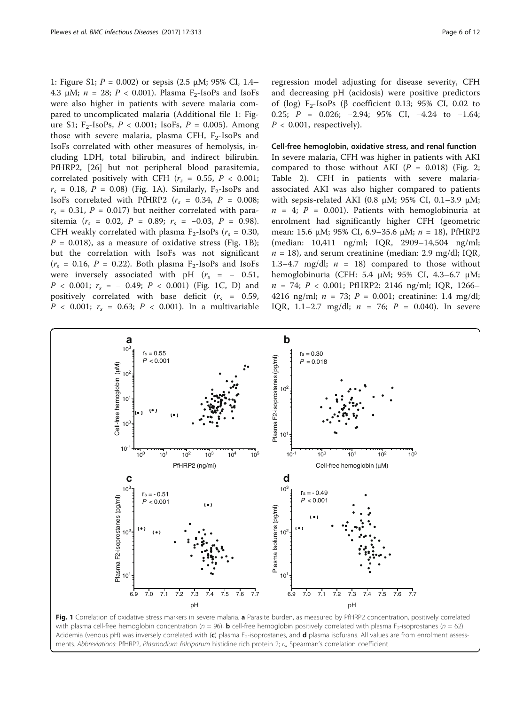[1:](#page-10-0) Figure S1;  $P = 0.002$ ) or sepsis (2.5  $\mu$ M; 95% CI, 1.4– 4.3 μM;  $n = 28$ ;  $P < 0.001$ ). Plasma F<sub>2</sub>-IsoPs and IsoFs were also higher in patients with severe malaria compared to uncomplicated malaria (Additional file [1:](#page-10-0) Figure S1;  $F_2$ -IsoPs,  $P < 0.001$ ; IsoFs,  $P = 0.005$ ). Among those with severe malaria, plasma CFH,  $F_2$ -IsoPs and IsoFs correlated with other measures of hemolysis, including LDH, total bilirubin, and indirect bilirubin. PfHRP2, [[26\]](#page-12-0) but not peripheral blood parasitemia, correlated positively with CFH ( $r_s = 0.55$ ,  $P < 0.001$ ;  $r_s = 0.18$ ,  $P = 0.08$ ) (Fig. 1A). Similarly, F<sub>2</sub>-IsoPs and IsoFs correlated with PfHRP2 ( $r_s = 0.34$ ,  $P = 0.008$ ;  $r_s$  = 0.31, P = 0.017) but neither correlated with parasitemia ( $r_s = 0.02$ ,  $P = 0.89$ ;  $r_s = -0.03$ ,  $P = 0.98$ ). CFH weakly correlated with plasma  $F_2$ -IsoPs ( $r_s = 0.30$ ,  $P = 0.018$ ), as a measure of oxidative stress (Fig. 1B); but the correlation with IsoFs was not significant  $(r<sub>s</sub> = 0.16, P = 0.22)$ . Both plasma F<sub>2</sub>-IsoPs and IsoFs were inversely associated with pH  $(r_s = -0.51,$  $P$  < 0.001;  $r_s$  = - 0.49;  $P$  < 0.001) (Fig. 1C, D) and positively correlated with base deficit ( $r_s$  = 0.59,  $P < 0.001$ ;  $r_s = 0.63$ ;  $P < 0.001$ ). In a multivariable

regression model adjusting for disease severity, CFH and decreasing pH (acidosis) were positive predictors of (log)  $F_2$ -IsoPs (β coefficient 0.13; 95% CI, 0.02 to 0.25; P = 0.026; −2.94; 95% CI, −4.24 to −1.64;  $P < 0.001$ , respectively).

Cell-free hemoglobin, oxidative stress, and renal function In severe malaria, CFH was higher in patients with AKI compared to those without AKI ( $P = 0.018$ ) (Fig. [2](#page-7-0); Table [2](#page-5-0)). CFH in patients with severe malariaassociated AKI was also higher compared to patients with sepsis-related AKI (0.8  $\mu$ M; 95% CI, 0.1-3.9  $\mu$ M;  $n = 4$ ;  $P = 0.001$ ). Patients with hemoglobinuria at enrolment had significantly higher CFH (geometric mean: 15.6 μM; 95% CI, 6.9–35.6 μM;  $n = 18$ ), PfHRP2 (median: 10,411 ng/ml; IQR, 2909–14,504 ng/ml;  $n = 18$ ), and serum creatinine (median: 2.9 mg/dl; IQR, 1.3–4.7 mg/dl;  $n = 18$ ) compared to those without hemoglobinuria (CFH: 5.4 μM; 95% CI, 4.3–6.7 μM;  $n = 74$ ;  $P < 0.001$ ; PfHRP2: 2146 ng/ml; IQR, 1266– 4216 ng/ml;  $n = 73$ ;  $P = 0.001$ ; creatinine: 1.4 mg/dl; IQR, 1.1-2.7 mg/dl;  $n = 76$ ;  $P = 0.040$ ). In severe



Fig. 1 Correlation of oxidative stress markers in severe malaria. a Parasite burden, as measured by PfHRP2 concentration, positively correlated with plasma cell-free hemoglobin concentration ( $n = 96$ ), **b** cell-free hemoglobin positively correlated with plasma F<sub>2</sub>-isoprostanes ( $n = 62$ ). Acidemia (venous pH) was inversely correlated with  $(c)$  plasma F<sub>2</sub>-isoprostanes, and  $d$  plasma isofurans. All values are from enrolment assessments. Abbreviations: PfHRP2, Plasmodium falciparum histidine rich protein 2; r., Spearman's correlation coefficient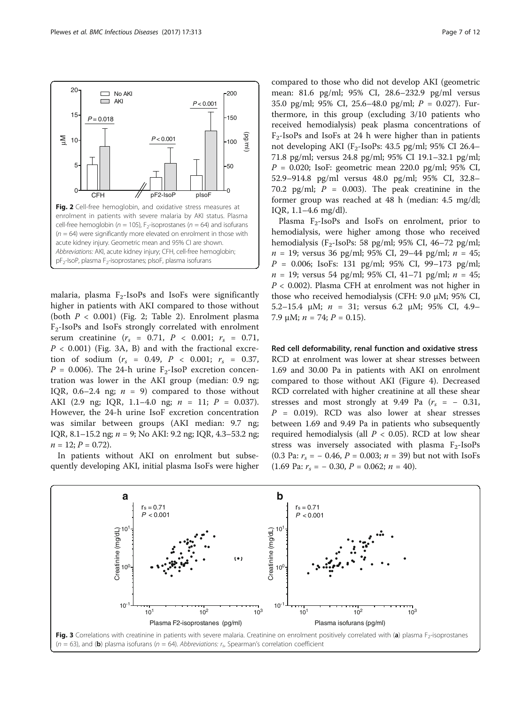<span id="page-7-0"></span>

malaria, plasma  $F_2$ -IsoPs and IsoFs were significantly higher in patients with AKI compared to those without (both  $P < 0.001$ ) (Fig. [2](#page-5-0); Table 2). Enrolment plasma F2-IsoPs and IsoFs strongly correlated with enrolment serum creatinine  $(r_s = 0.71, P < 0.001; r_s = 0.71,$  $P < 0.001$ ) (Fig. 3A, B) and with the fractional excretion of sodium  $(r_s = 0.49, P < 0.001; r_s = 0.37,$  $P = 0.006$ ). The 24-h urine F<sub>2</sub>-IsoP excretion concentration was lower in the AKI group (median: 0.9 ng; IQR, 0.6–2.4 ng;  $n = 9$  compared to those without AKI (2.9 ng; IQR, 1.1–4.0 ng; n = 11; P = 0.037). However, the 24-h urine IsoF excretion concentration was similar between groups (AKI median: 9.7 ng; IQR, 8.1–15.2 ng; n = 9; No AKI: 9.2 ng; IQR, 4.3–53.2 ng;  $n = 12; P = 0.72$ .

In patients without AKI on enrolment but subsequently developing AKI, initial plasma IsoFs were higher compared to those who did not develop AKI (geometric mean: 81.6 pg/ml; 95% CI, 28.6–232.9 pg/ml versus 35.0 pg/ml; 95% CI, 25.6–48.0 pg/ml;  $P = 0.027$ ). Furthermore, in this group (excluding 3/10 patients who received hemodialysis) peak plasma concentrations of  $F<sub>2</sub>$ -IsoPs and IsoFs at 24 h were higher than in patients not developing AKI (F<sub>2</sub>-IsoPs: 43.5 pg/ml; 95% CI 26.4– 71.8 pg/ml; versus 24.8 pg/ml; 95% CI 19.1–32.1 pg/ml;  $P = 0.020$ ; IsoF: geometric mean 220.0 pg/ml; 95% CI, 52.9–914.8 pg/ml versus 48.0 pg/ml; 95% CI, 32.8– 70.2 pg/ml;  $P = 0.003$ ). The peak creatinine in the former group was reached at 48 h (median: 4.5 mg/dl; IQR, 1.1–4.6 mg/dl).

Plasma  $F_2$ -IsoPs and IsoFs on enrolment, prior to hemodialysis, were higher among those who received hemodialysis (F<sub>2</sub>-IsoPs: 58 pg/ml; 95% CI, 46-72 pg/ml;  $n = 19$ ; versus 36 pg/ml; 95% CI, 29–44 pg/ml;  $n = 45$ ;  $P = 0.006$ ; IsoFs: 131 pg/ml; 95% CI, 99-173 pg/ml;  $n = 19$ ; versus 54 pg/ml; 95% CI, 41-71 pg/ml;  $n = 45$ ;  $P < 0.002$ ). Plasma CFH at enrolment was not higher in those who received hemodialysis (CFH: 9.0 μM; 95% CI, 5.2–15.4 μM; n = 31; versus 6.2 μM; 95% CI, 4.9– 7.9 μM;  $n = 74$ ;  $P = 0.15$ ).

Red cell deformability, renal function and oxidative stress RCD at enrolment was lower at shear stresses between 1.69 and 30.00 Pa in patients with AKI on enrolment compared to those without AKI (Figure [4](#page-8-0)). Decreased RCD correlated with higher creatinine at all these shear stresses and most strongly at 9.49 Pa  $(r<sub>s</sub> = -0.31,$  $P = 0.019$ . RCD was also lower at shear stresses between 1.69 and 9.49 Pa in patients who subsequently required hemodialysis (all  $P < 0.05$ ). RCD at low shear stress was inversely associated with plasma  $F_2$ -IsoPs (0.3 Pa:  $r_s = -0.46$ ,  $P = 0.003$ ;  $n = 39$ ) but not with IsoFs (1.69 Pa:  $r_s = -0.30$ ,  $P = 0.062$ ;  $n = 40$ ).

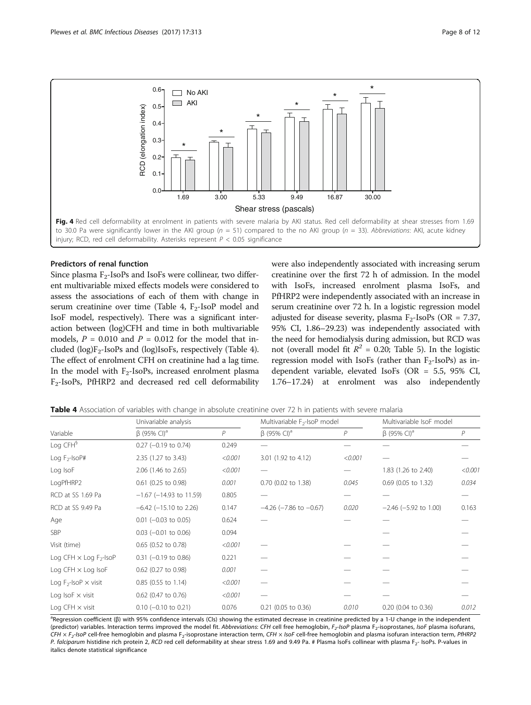<span id="page-8-0"></span>

# Predictors of renal function

Since plasma  $F_2$ -IsoPs and IsoFs were collinear, two different multivariable mixed effects models were considered to assess the associations of each of them with change in serum creatinine over time (Table 4,  $F_2$ -IsoP model and IsoF model, respectively). There was a significant interaction between (log)CFH and time in both multivariable models,  $P = 0.010$  and  $P = 0.012$  for the model that included  $(log)F_2$ -IsoPs and  $(log)$ IsoFs, respectively (Table 4). The effect of enrolment CFH on creatinine had a lag time. In the model with  $F_2$ -IsoPs, increased enrolment plasma F2-IsoPs, PfHRP2 and decreased red cell deformability were also independently associated with increasing serum creatinine over the first 72 h of admission. In the model with IsoFs, increased enrolment plasma IsoFs, and PfHRP2 were independently associated with an increase in serum creatinine over 72 h. In a logistic regression model adjusted for disease severity, plasma  $F_2$ -IsoPs (OR = 7.37, 95% CI, 1.86–29.23) was independently associated with the need for hemodialysis during admission, but RCD was not (overall model fit  $R^2 = 0.20$ ; Table [5](#page-9-0)). In the logistic regression model with IsoFs (rather than  $F_2$ -IsoPs) as independent variable, elevated IsoFs (OR = 5.5, 95% CI, 1.76–17.24) at enrolment was also independently

| Variable                                  | Univariable analysis        |         | Multivariable F <sub>2</sub> -IsoP model |         | Multivariable IsoF model      |         |
|-------------------------------------------|-----------------------------|---------|------------------------------------------|---------|-------------------------------|---------|
|                                           | $β$ (95% CI) <sup>a</sup>   | P       | $\beta$ (95% CI) <sup>a</sup>            | P       | $\beta$ (95% CI) <sup>a</sup> | P       |
| Log CFH <sup>§</sup>                      | $0.27$ (-0.19 to 0.74)      | 0.249   |                                          |         |                               |         |
| Log $F_2$ -Iso $P#$                       | 2.35 (1.27 to 3.43)         | < 0.001 | 3.01 (1.92 to 4.12)                      | < 0.001 |                               |         |
| Log IsoF                                  | 2.06 (1.46 to 2.65)         | < 0.001 |                                          |         | 1.83 (1.26 to 2.40)           | < 0.001 |
| LogPfHRP2                                 | $0.61$ (0.25 to 0.98)       | 0.001   | 0.70 (0.02 to 1.38)                      | 0.045   | 0.69 (0.05 to 1.32)           | 0.034   |
| RCD at SS 1.69 Pa                         | $-1.67$ (-14.93 to 11.59)   | 0.805   |                                          |         |                               |         |
| RCD at SS 9.49 Pa                         | $-6.42$ ( $-15.10$ to 2.26) | 0.147   | $-4.26$ ( $-7.86$ to $-0.67$ )           | 0.020   | $-2.46$ ( $-5.92$ to 1.00)    | 0.163   |
| Age                                       | $0.01$ (-0.03 to 0.05)      | 0.624   |                                          |         |                               |         |
| <b>SBP</b>                                | $0.03$ (-0.01 to 0.06)      | 0.094   |                                          |         |                               |         |
| Visit (time)                              | $0.65$ (0.52 to 0.78)       | < 0.001 |                                          |         |                               |         |
| Log CFH $\times$ Log F <sub>2</sub> -IsoP | $0.31$ (-0.19 to 0.86)      | 0.221   |                                          |         |                               |         |
| Log CFH $\times$ Log IsoF                 | 0.62 (0.27 to 0.98)         | 0.001   |                                          |         |                               |         |
| Log $F_2$ -IsoP $\times$ visit            | $0.85$ (0.55 to 1.14)       | < 0.001 |                                          |         |                               |         |
| Log IsoF $\times$ visit                   | 0.62 (0.47 to 0.76)         | < 0.001 |                                          |         |                               |         |
| Log CFH $\times$ visit                    | $0.10$ (-0.10 to 0.21)      | 0.076   | $0.21$ (0.05 to 0.36)                    | 0.010   | $0.20$ (0.04 to 0.36)         | 0.012   |

Table 4 Association of variables with change in absolute creatinine over 72 h in patients with severe malaria

a<br>Pegression coefficient (β) with 95% confidence intervals (CIs) showing the estimated decrease in creatinine predicted by a 1-U change in the independent (predictor) variables. Interaction terms improved the model fit. Abbreviations: CFH cell free hemoglobin, F<sub>2</sub>-IsoP plasma F<sub>2</sub>-isoprostanes, IsoF plasma isofurans, CFH  $\times$  F<sub>2</sub>-IsoP cell-free hemoglobin and plasma F<sub>2</sub>-isoprostane interaction term, CFH  $\times$  IsoF cell-free hemoglobin and plasma isofuran interaction term, PfHRP2 P. falciparum histidine rich protein 2, RCD red cell deformability at shear stress 1.69 and 9.49 Pa. # Plasma IsoFs collinear with plasma F<sub>2</sub>- IsoPs. P-values in italics denote statistical significance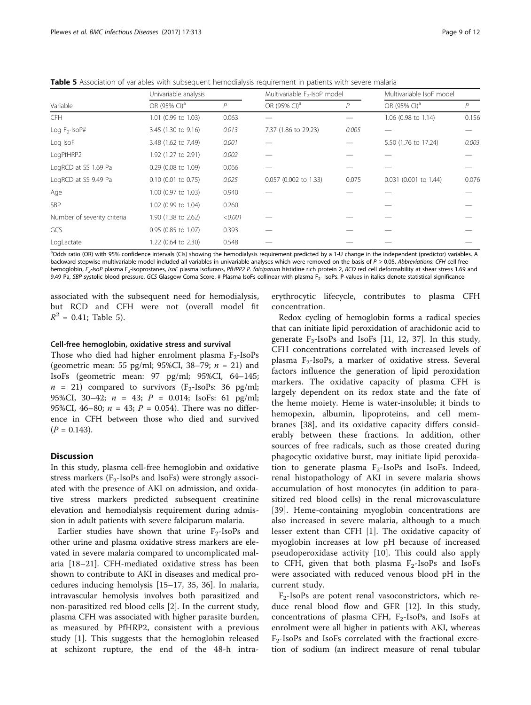<span id="page-9-0"></span>Table 5 Association of variables with subsequent hemodialysis requirement in patients with severe malaria

| Variable                    | Univariable analysis     |                | Multivariable F <sub>2</sub> -IsoP model |       | Multivariable IsoF model |       |
|-----------------------------|--------------------------|----------------|------------------------------------------|-------|--------------------------|-------|
|                             | OR (95% CI) <sup>a</sup> | $\overline{P}$ | OR (95% CI) <sup>a</sup>                 | P     | OR (95% CI) <sup>a</sup> | P     |
| <b>CFH</b>                  | 1.01 (0.99 to 1.03)      | 0.063          |                                          |       | 1.06 (0.98 to 1.14)      | 0.156 |
| Log $F_2$ -Iso $P#$         | 3.45 (1.30 to 9.16)      | 0.013          | 7.37 (1.86 to 29.23)                     | 0.005 |                          |       |
| Log IsoF                    | 3.48 (1.62 to 7.49)      | 0.001          |                                          |       | 5.50 (1.76 to 17.24)     | 0.003 |
| LogPfHRP2                   | 1.92 (1.27 to 2.91)      | 0.002          |                                          |       |                          |       |
| LogRCD at SS 1.69 Pa        | 0.29 (0.08 to 1.09)      | 0.066          |                                          |       |                          |       |
| LogRCD at SS 9.49 Pa        | $0.10$ (0.01 to 0.75)    | 0.025          | 0.057 (0.002 to 1.33)                    | 0.075 | 0.031 (0.001 to 1.44)    | 0.076 |
| Age                         | 1.00 (0.97 to 1.03)      | 0.940          |                                          |       |                          |       |
| <b>SBP</b>                  | 1.02 (0.99 to 1.04)      | 0.260          |                                          |       |                          |       |
| Number of severity criteria | 1.90 (1.38 to 2.62)      | < 0.001        |                                          |       |                          |       |
| GCS                         | 0.95 (0.85 to 1.07)      | 0.393          |                                          |       |                          |       |
| LogLactate                  | 1.22 (0.64 to 2.30)      | 0.548          |                                          |       |                          |       |

<sup>a</sup>Odds ratio (OR) with 95% confidence intervals (CIs) showing the hemodialysis requirement predicted by a 1-U change in the independent (predictor) variables. A backward stepwise multivariable model included all variables in univariable analyses which were removed on the basis of P ≥ 0.05. Abbreviations: CFH cell free hemoglobin, F<sub>2</sub>-IsoP plasma F<sub>2</sub>-isoprostanes, IsoF plasma isofurans, PfHRP2 P. falciparum histidine rich protein 2, RCD red cell deformability at shear stress 1.69 and 9.49 Pa, SBP systolic blood pressure, GCS Glasgow Coma Score. # Plasma IsoFs collinear with plasma F<sub>2</sub>- IsoPs. P-values in italics denote statistical significance

associated with the subsequent need for hemodialysis, but RCD and CFH were not (overall model fit  $R^2 = 0.41$ ; Table 5).

# Cell-free hemoglobin, oxidative stress and survival

Those who died had higher enrolment plasma  $F_2$ -IsoPs (geometric mean: 55 pg/ml; 95%CI, 38–79;  $n = 21$ ) and IsoFs (geometric mean: 97 pg/ml; 95%CI, 64–145;  $n = 21$ ) compared to survivors (F<sub>2</sub>-IsoPs: 36 pg/ml; 95%CI, 30-42;  $n = 43$ ;  $P = 0.014$ ; IsoFs: 61 pg/ml; 95%CI, 46–80;  $n = 43$ ;  $P = 0.054$ ). There was no difference in CFH between those who died and survived  $(P = 0.143)$ .

# **Discussion**

In this study, plasma cell-free hemoglobin and oxidative stress markers ( $F_2$ -IsoPs and IsoFs) were strongly associated with the presence of AKI on admission, and oxidative stress markers predicted subsequent creatinine elevation and hemodialysis requirement during admission in adult patients with severe falciparum malaria.

Earlier studies have shown that urine  $F_2$ -IsoPs and other urine and plasma oxidative stress markers are elevated in severe malaria compared to uncomplicated malaria [\[18](#page-11-0)–[21\]](#page-12-0). CFH-mediated oxidative stress has been shown to contribute to AKI in diseases and medical procedures inducing hemolysis [[15](#page-11-0)–[17](#page-11-0), [35](#page-12-0), [36](#page-12-0)]. In malaria, intravascular hemolysis involves both parasitized and non-parasitized red blood cells [[2\]](#page-11-0). In the current study, plasma CFH was associated with higher parasite burden, as measured by PfHRP2, consistent with a previous study [[1\]](#page-11-0). This suggests that the hemoglobin released at schizont rupture, the end of the 48-h intraerythrocytic lifecycle, contributes to plasma CFH concentration.

Redox cycling of hemoglobin forms a radical species that can initiate lipid peroxidation of arachidonic acid to generate  $F_2$ -IsoPs and IsoFs [[11, 12](#page-11-0), [37](#page-12-0)]. In this study, CFH concentrations correlated with increased levels of plasma  $F_2$ -IsoPs, a marker of oxidative stress. Several factors influence the generation of lipid peroxidation markers. The oxidative capacity of plasma CFH is largely dependent on its redox state and the fate of the heme moiety. Heme is water-insoluble; it binds to hemopexin, albumin, lipoproteins, and cell membranes [\[38](#page-12-0)], and its oxidative capacity differs considerably between these fractions. In addition, other sources of free radicals, such as those created during phagocytic oxidative burst, may initiate lipid peroxidation to generate plasma  $F_2$ -IsoPs and IsoFs. Indeed, renal histopathology of AKI in severe malaria shows accumulation of host monocytes (in addition to parasitized red blood cells) in the renal microvasculature [[39\]](#page-12-0). Heme-containing myoglobin concentrations are also increased in severe malaria, although to a much lesser extent than CFH [[1\]](#page-11-0). The oxidative capacity of myoglobin increases at low pH because of increased pseudoperoxidase activity [\[10](#page-11-0)]. This could also apply to CFH, given that both plasma  $F_2$ -IsoPs and IsoFs were associated with reduced venous blood pH in the current study.

 $F_2$ -IsoPs are potent renal vasoconstrictors, which reduce renal blood flow and GFR [[12\]](#page-11-0). In this study, concentrations of plasma CFH,  $F_2$ -IsoPs, and IsoFs at enrolment were all higher in patients with AKI, whereas  $F_2$ -IsoPs and IsoFs correlated with the fractional excretion of sodium (an indirect measure of renal tubular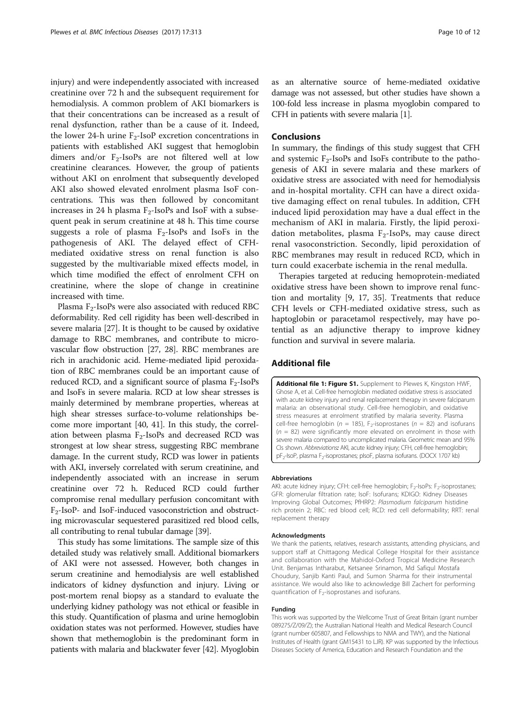<span id="page-10-0"></span>injury) and were independently associated with increased creatinine over 72 h and the subsequent requirement for hemodialysis. A common problem of AKI biomarkers is that their concentrations can be increased as a result of renal dysfunction, rather than be a cause of it. Indeed, the lower 24-h urine  $F_2$ -IsoP excretion concentrations in patients with established AKI suggest that hemoglobin dimers and/or  $F_2$ -IsoPs are not filtered well at low creatinine clearances. However, the group of patients without AKI on enrolment that subsequently developed AKI also showed elevated enrolment plasma IsoF concentrations. This was then followed by concomitant increases in 24 h plasma  $F_2$ -IsoPs and IsoF with a subsequent peak in serum creatinine at 48 h. This time course suggests a role of plasma  $F_2$ -IsoPs and IsoFs in the pathogenesis of AKI. The delayed effect of CFHmediated oxidative stress on renal function is also suggested by the multivariable mixed effects model, in which time modified the effect of enrolment CFH on creatinine, where the slope of change in creatinine increased with time.

Plasma  $F_2$ -IsoPs were also associated with reduced RBC deformability. Red cell rigidity has been well-described in severe malaria [[27](#page-12-0)]. It is thought to be caused by oxidative damage to RBC membranes, and contribute to microvascular flow obstruction [[27](#page-12-0), [28](#page-12-0)]. RBC membranes are rich in arachidonic acid. Heme-mediated lipid peroxidation of RBC membranes could be an important cause of reduced RCD, and a significant source of plasma  $F_2$ -IsoPs and IsoFs in severe malaria. RCD at low shear stresses is mainly determined by membrane properties, whereas at high shear stresses surface-to-volume relationships become more important [\[40](#page-12-0), [41\]](#page-12-0). In this study, the correlation between plasma  $F_2$ -IsoPs and decreased RCD was strongest at low shear stress, suggesting RBC membrane damage. In the current study, RCD was lower in patients with AKI, inversely correlated with serum creatinine, and independently associated with an increase in serum creatinine over 72 h. Reduced RCD could further compromise renal medullary perfusion concomitant with  $F_2$ -IsoP- and IsoF-induced vasoconstriction and obstructing microvascular sequestered parasitized red blood cells, all contributing to renal tubular damage [\[39\]](#page-12-0).

This study has some limitations. The sample size of this detailed study was relatively small. Additional biomarkers of AKI were not assessed. However, both changes in serum creatinine and hemodialysis are well established indicators of kidney dysfunction and injury. Living or post-mortem renal biopsy as a standard to evaluate the underlying kidney pathology was not ethical or feasible in this study. Quantification of plasma and urine hemoglobin oxidation states was not performed. However, studies have shown that methemoglobin is the predominant form in patients with malaria and blackwater fever [\[42\]](#page-12-0). Myoglobin as an alternative source of heme-mediated oxidative damage was not assessed, but other studies have shown a 100-fold less increase in plasma myoglobin compared to CFH in patients with severe malaria [\[1](#page-11-0)].

# Conclusions

In summary, the findings of this study suggest that CFH and systemic  $F_2$ -IsoPs and IsoFs contribute to the pathogenesis of AKI in severe malaria and these markers of oxidative stress are associated with need for hemodialysis and in-hospital mortality. CFH can have a direct oxidative damaging effect on renal tubules. In addition, CFH induced lipid peroxidation may have a dual effect in the mechanism of AKI in malaria. Firstly, the lipid peroxidation metabolites, plasma  $F_2$ -IsoPs, may cause direct renal vasoconstriction. Secondly, lipid peroxidation of RBC membranes may result in reduced RCD, which in turn could exacerbate ischemia in the renal medulla.

Therapies targeted at reducing hemoprotein-mediated oxidative stress have been shown to improve renal function and mortality [\[9](#page-11-0), [17,](#page-11-0) [35\]](#page-12-0). Treatments that reduce CFH levels or CFH-mediated oxidative stress, such as haptoglobin or paracetamol respectively, may have potential as an adjunctive therapy to improve kidney function and survival in severe malaria.

# Additional file

[Additional file 1: Figure S1.](dx.doi.org/10.1186/s12879-017-2373-1) Supplement to Plewes K, Kingston HWF, Ghose A, et al. Cell-free hemoglobin mediated oxidative stress is associated with acute kidney injury and renal replacement therapy in severe falciparum malaria: an observational study. Cell-free hemoglobin, and oxidative stress measures at enrolment stratified by malaria severity. Plasma cell-free hemoglobin ( $n = 185$ ), F<sub>2</sub>-isoprostanes ( $n = 82$ ) and isofurans  $(n = 82)$  were significantly more elevated on enrolment in those with severe malaria compared to uncomplicated malaria. Geometric mean and 95% CIs shown. Abbreviations: AKI, acute kidney injury; CFH, cell-free hemoglobin; pF<sub>2</sub>-IsoP, plasma F<sub>2</sub>-isoprostanes; pIsoF, plasma isofurans. (DOCX 1707 kb)

#### Abbreviations

AKI: acute kidney injury; CFH: cell-free hemoglobin; F<sub>2</sub>-IsoPs: F<sub>2</sub>-isoprostanes; GFR: glomerular filtration rate; IsoF: Isofurans; KDIGO: Kidney Diseases Improving Global Outcomes; PfHRP2: Plasmodium falciparum histidine rich protein 2; RBC: red blood cell; RCD: red cell deformability; RRT: renal replacement therapy

#### Acknowledgments

We thank the patients, relatives, research assistants, attending physicians, and support staff at Chittagong Medical College Hospital for their assistance and collaboration with the Mahidol-Oxford Tropical Medicine Research Unit. Benjamas Intharabut, Ketsanee Srinamon, Md Safiqul Mostafa Choudury, Sanjib Kanti Paul, and Sumon Sharma for their instrumental assistance. We would also like to acknowledge Bill Zachert for performing quantification of  $F_2$ -isoprostanes and isofurans.

#### Funding

This work was supported by the Wellcome Trust of Great Britain (grant number 089275/Z/09/Z); the Australian National Health and Medical Research Council (grant number 605807, and Fellowships to NMA and TWY), and the National Institutes of Health (grant GM15431 to LJR). KP was supported by the Infectious Diseases Society of America, Education and Research Foundation and the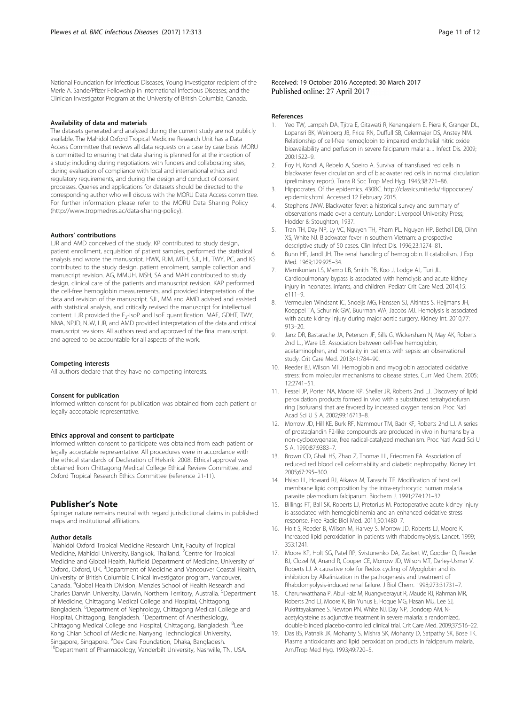<span id="page-11-0"></span>National Foundation for Infectious Diseases, Young Investigator recipient of the Merle A. Sande/Pfizer Fellowship in International Infectious Diseases; and the Clinician Investigator Program at the University of British Columbia, Canada.

#### Availability of data and materials

The datasets generated and analyzed during the current study are not publicly available. The Mahidol Oxford Tropical Medicine Research Unit has a Data Access Committee that reviews all data requests on a case by case basis. MORU is committed to ensuring that data sharing is planned for at the inception of a study: including during negotiations with funders and collaborating sites, during evaluation of compliance with local and international ethics and regulatory requirements, and during the design and conduct of consent processes. Queries and applications for datasets should be directed to the corresponding author who will discuss with the MORU Data Access committee. For further information please refer to the MORU Data Sharing Policy (<http://www.tropmedres.ac/data-sharing-policy>).

#### Authors' contributions

LJR and AMD conceived of the study. KP contributed to study design, patient enrollment, acquisition of patient samples, performed the statistical analysis and wrote the manuscript. HWK, RJM, MTH, SJL, HI, TWY, PC, and KS contributed to the study design, patient enrolment, sample collection and manuscript revision. AG, MMUH, MSH, SA and MAH contributed to study design, clinical care of the patients and manuscript revision. KAP performed the cell-free hemoglobin measurements, and provided interpretation of the data and revision of the manuscript. SJL, MM and AMD advised and assisted with statistical analysis, and critically revised the manuscript for intellectual content. LJR provided the F<sub>2</sub>-IsoP and IsoF quantification. MAF, GDHT, TWY, NMA, NPJD, NJW, LJR, and AMD provided interpretation of the data and critical manuscript revisions. All authors read and approved of the final manuscript, and agreed to be accountable for all aspects of the work.

#### Competing interests

All authors declare that they have no competing interests.

#### Consent for publication

Informed written consent for publication was obtained from each patient or legally acceptable representative.

#### Ethics approval and consent to participate

Informed written consent to participate was obtained from each patient or legally acceptable representative. All procedures were in accordance with the ethical standards of Declaration of Helsinki 2008. Ethical approval was obtained from Chittagong Medical College Ethical Review Committee, and Oxford Tropical Research Ethics Committee (reference 21-11).

# Publisher's Note

Springer nature remains neutral with regard jurisdictional claims in published maps and institutional affiliations.

#### Author details

<sup>1</sup>Mahidol Oxford Tropical Medicine Research Unit, Faculty of Tropical Medicine, Mahidol University, Bangkok, Thailand. <sup>2</sup>Centre for Tropical Medicine and Global Health, Nuffield Department of Medicine, University of Oxford, Oxford, UK. <sup>3</sup>Department of Medicine and Vancouver Coastal Health, University of British Columbia Clinical Investigator program, Vancouver, Canada. <sup>4</sup>Global Health Division, Menzies School of Health Research and Charles Darwin University, Darwin, Northern Territory, Australia. <sup>5</sup>Department of Medicine, Chittagong Medical College and Hospital, Chittagong, Bangladesh. <sup>6</sup>Department of Nephrology, Chittagong Medical College and Hospital, Chittagong, Bangladesh. <sup>7</sup> Department of Anesthesiology, Chittagong Medical College and Hospital, Chittagong, Bangladesh. <sup>8</sup>Lee Kong Chian School of Medicine, Nanyang Technological University, Singapore, Singapore. <sup>9</sup>Dev Care Foundation, Dhaka, Bangladesh.

<sup>10</sup>Department of Pharmacology, Vanderbilt University, Nashville, TN, USA.

Received: 19 October 2016 Accepted: 30 March 2017 Published online: 27 April 2017

#### References

- 1. Yeo TW, Lampah DA, Tjitra E, Gitawati R, Kenangalem E, Piera K, Granger DL, Lopansri BK, Weinberg JB, Price RN, Duffull SB, Celermajer DS, Anstey NM. Relationship of cell-free hemoglobin to impaired endothelial nitric oxide bioavailability and perfusion in severe falciparum malaria. J Infect Dis. 2009; 200:1522–9.
- 2. Foy H, Kondi A, Rebelo A, Soeiro A. Survival of transfused red cells in blackwater fever circulation and of blackwater red cells in normal circulation (preliminary report). Trans R Soc Trop Med Hyg. 1945;38:271–86.
- 3. Hippocrates. Of the epidemics. 430BC. [http://classics.mit.edu/Hippocrates/](http://classics.mit.edu/Hippocrates/epidemics.html) [epidemics.html](http://classics.mit.edu/Hippocrates/epidemics.html). Accessed 12 February 2015.
- 4. Stephens JWW. Blackwater fever: a historical survey and summary of observations made over a century. London: Liverpool University Press; Hodder & Stoughton; 1937.
- 5. Tran TH, Day NP, Ly VC, Nguyen TH, Pham PL, Nguyen HP, Bethell DB, Dihn XS, White NJ. Blackwater fever in southern Vietnam: a prospective descriptive study of 50 cases. Clin Infect Dis. 1996;23:1274–81.
- 6. Bunn HF, Jandl JH. The renal handling of hemoglobin. II catabolism. J Exp Med. 1969;129:925–34.
- 7. Mamikonian LS, Mamo LB, Smith PB, Koo J, Lodge AJ, Turi JL. Cardiopulmonary bypass is associated with hemolysis and acute kidney injury in neonates, infants, and children. Pediatr Crit Care Med. 2014;15: e111–9.
- 8. Vermeulen Windsant IC, Snoeijs MG, Hanssen SJ, Altintas S, Heijmans JH, Koeppel TA, Schurink GW, Buurman WA, Jacobs MJ. Hemolysis is associated with acute kidney injury during major aortic surgery. Kidney Int. 2010;77: 913–20.
- 9. Janz DR, Bastarache JA, Peterson JF, Sills G, Wickersham N, May AK, Roberts 2nd LJ, Ware LB. Association between cell-free hemoglobin, acetaminophen, and mortality in patients with sepsis: an observational study. Crit Care Med. 2013;41:784–90.
- 10. Reeder BJ, Wilson MT. Hemoglobin and myoglobin associated oxidative stress: from molecular mechanisms to disease states. Curr Med Chem. 2005; 12:2741–51.
- 11. Fessel JP, Porter NA, Moore KP, Sheller JR, Roberts 2nd LJ. Discovery of lipid peroxidation products formed in vivo with a substituted tetrahydrofuran ring (isofurans) that are favored by increased oxygen tension. Proc Natl Acad Sci U S A. 2002;99:16713–8.
- 12. Morrow JD, Hill KE, Burk RF, Nammour TM, Badr KF, Roberts 2nd LJ. A series of prostaglandin F2-like compounds are produced in vivo in humans by a non-cyclooxygenase, free radical-catalyzed mechanism. Proc Natl Acad Sci U S A. 1990;87:9383–7.
- 13. Brown CD, Ghali HS, Zhao Z, Thomas LL, Friedman EA. Association of reduced red blood cell deformability and diabetic nephropathy. Kidney Int. 2005;67:295–300.
- 14. Hsiao LL, Howard RJ, Aikawa M, Taraschi TF. Modification of host cell membrane lipid composition by the intra-erythrocytic human malaria parasite plasmodium falciparum. Biochem J. 1991;274:121–32.
- 15. Billings FT, Ball SK, Roberts LJ, Pretorius M. Postoperative acute kidney injury is associated with hemoglobinemia and an enhanced oxidative stress response. Free Radic Biol Med. 2011;50:1480–7.
- 16. Holt S, Reeder B, Wilson M, Harvey S, Morrow JD, Roberts LJ, Moore K. Increased lipid peroxidation in patients with rhabdomyolysis. Lancet. 1999; 353:1241.
- 17. Moore KP, Holt SG, Patel RP, Svistunenko DA, Zackert W, Goodier D, Reeder BJ, Clozel M, Anand R, Cooper CE, Morrow JD, Wilson MT, Darley-Usmar V, Roberts LJ. A causative role for Redox cycling of Myoglobin and its inhibition by Alkalinization in the pathogenesis and treatment of Rhabdomyolysis-induced renal failure. J Biol Chem. 1998;273:31731–7.
- 18. Charunwatthana P, Abul Faiz M, Ruangveerayut R, Maude RJ, Rahman MR, Roberts 2nd LJ, Moore K, Bin Yunus E, Hoque MG, Hasan MU, Lee SJ, Pukrittayakamee S, Newton PN, White NJ, Day NP, Dondorp AM. Nacetylcysteine as adjunctive treatment in severe malaria: a randomized, double-blinded placebo-controlled clinical trial. Crit Care Med. 2009;37:516–22.
- 19. Das BS, Patnaik JK, Mohanty S, Mishra SK, Mohanty D, Satpathy SK, Bose TK. Plasma antioxidants and lipid peroxidation products in falciparum malaria. AmJTrop Med Hyg. 1993;49:720–5.